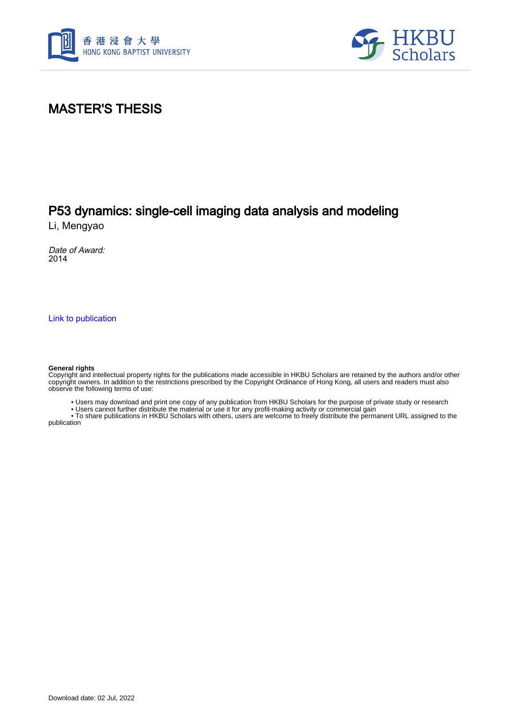



#### MASTER'S THESIS

### P53 dynamics: single-cell imaging data analysis and modeling

Li, Mengyao

Date of Award: 2014

[Link to publication](https://scholars.hkbu.edu.hk/en/studentTheses/5b886114-f21b-4985-82f8-30cc129c8ba7)

#### **General rights**

Copyright and intellectual property rights for the publications made accessible in HKBU Scholars are retained by the authors and/or other copyright owners. In addition to the restrictions prescribed by the Copyright Ordinance of Hong Kong, all users and readers must also observe the following terms of use:

• Users may download and print one copy of any publication from HKBU Scholars for the purpose of private study or research

• Users cannot further distribute the material or use it for any profit-making activity or commercial gain

 • To share publications in HKBU Scholars with others, users are welcome to freely distribute the permanent URL assigned to the publication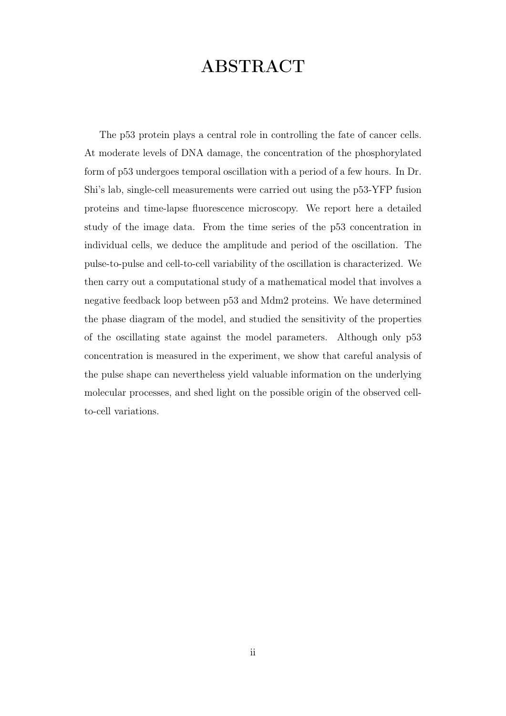# ABSTRACT

The p53 protein plays a central role in controlling the fate of cancer cells. At moderate levels of DNA damage, the concentration of the phosphorylated form of p53 undergoes temporal oscillation with a period of a few hours. In Dr. Shi's lab, single-cell measurements were carried out using the p53-YFP fusion proteins and time-lapse fluorescence microscopy. We report here a detailed study of the image data. From the time series of the p53 concentration in individual cells, we deduce the amplitude and period of the oscillation. The pulse-to-pulse and cell-to-cell variability of the oscillation is characterized. We then carry out a computational study of a mathematical model that involves a negative feedback loop between p53 and Mdm2 proteins. We have determined the phase diagram of the model, and studied the sensitivity of the properties of the oscillating state against the model parameters. Although only p53 concentration is measured in the experiment, we show that careful analysis of the pulse shape can nevertheless yield valuable information on the underlying molecular processes, and shed light on the possible origin of the observed cellto-cell variations.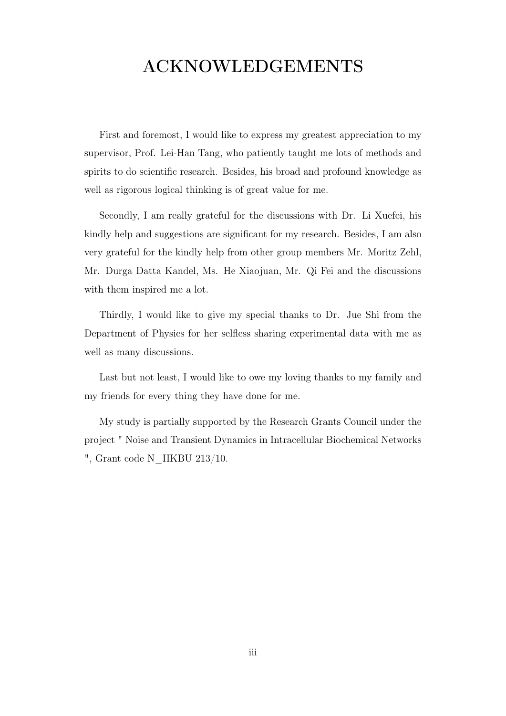# ACKNOWLEDGEMENTS

First and foremost, I would like to express my greatest appreciation to my supervisor, Prof. Lei-Han Tang, who patiently taught me lots of methods and spirits to do scientific research. Besides, his broad and profound knowledge as well as rigorous logical thinking is of great value for me.

Secondly, I am really grateful for the discussions with Dr. Li Xuefei, his kindly help and suggestions are significant for my research. Besides, I am also very grateful for the kindly help from other group members Mr. Moritz Zehl, Mr. Durga Datta Kandel, Ms. He Xiaojuan, Mr. Qi Fei and the discussions with them inspired me a lot.

Thirdly, I would like to give my special thanks to Dr. Jue Shi from the Department of Physics for her selfless sharing experimental data with me as well as many discussions.

Last but not least, I would like to owe my loving thanks to my family and my friends for every thing they have done for me.

My study is partially supported by the Research Grants Council under the project " Noise and Transient Dynamics in Intracellular Biochemical Networks ", Grant code N\_HKBU 213/10.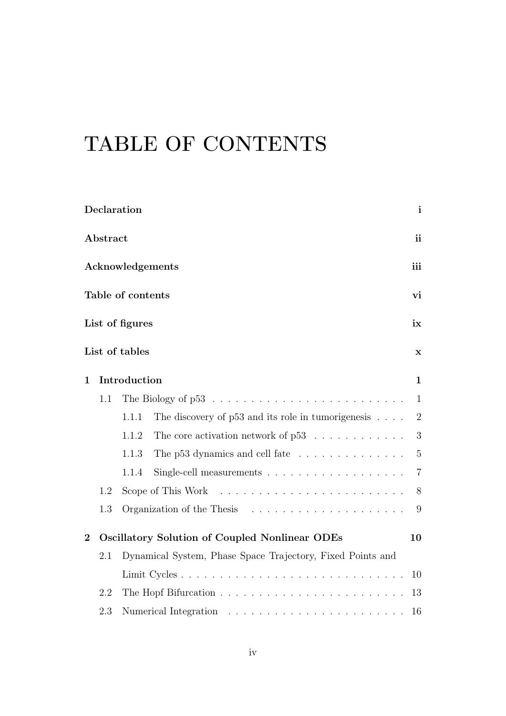# TABLE OF CONTENTS

|                         | Declaration      |                                                                            |                                                                |                |  |  |  |
|-------------------------|------------------|----------------------------------------------------------------------------|----------------------------------------------------------------|----------------|--|--|--|
|                         | Abstract         |                                                                            |                                                                |                |  |  |  |
|                         | Acknowledgements |                                                                            |                                                                |                |  |  |  |
| Table of contents<br>vi |                  |                                                                            |                                                                |                |  |  |  |
| List of figures         |                  |                                                                            |                                                                |                |  |  |  |
|                         |                  | List of tables                                                             |                                                                | $\mathbf x$    |  |  |  |
| $\mathbf 1$             |                  | Introduction                                                               |                                                                | $\mathbf{1}$   |  |  |  |
|                         | 1.1              |                                                                            |                                                                | $\mathbf{1}$   |  |  |  |
|                         |                  | 1.1.1                                                                      | The discovery of $p53$ and its role in tumorigenesis $\dots$ . | $\overline{2}$ |  |  |  |
|                         |                  | 1.1.2                                                                      | The core activation network of $p53$                           | 3              |  |  |  |
|                         |                  | 1.1.3                                                                      | The p53 dynamics and cell fate                                 | 5              |  |  |  |
|                         |                  | 1.1.4                                                                      |                                                                | $\overline{7}$ |  |  |  |
|                         | 1.2              | Scope of This Work $\dots \dots \dots \dots \dots \dots \dots \dots \dots$ |                                                                |                |  |  |  |
|                         | 1.3              |                                                                            |                                                                |                |  |  |  |
| $\overline{2}$          |                  |                                                                            | Oscillatory Solution of Coupled Nonlinear ODEs                 | 10             |  |  |  |
|                         | 2.1              |                                                                            | Dynamical System, Phase Space Trajectory, Fixed Points and     |                |  |  |  |
|                         |                  |                                                                            |                                                                |                |  |  |  |
|                         | 2.2              |                                                                            |                                                                |                |  |  |  |
|                         | 2.3              |                                                                            |                                                                | 16             |  |  |  |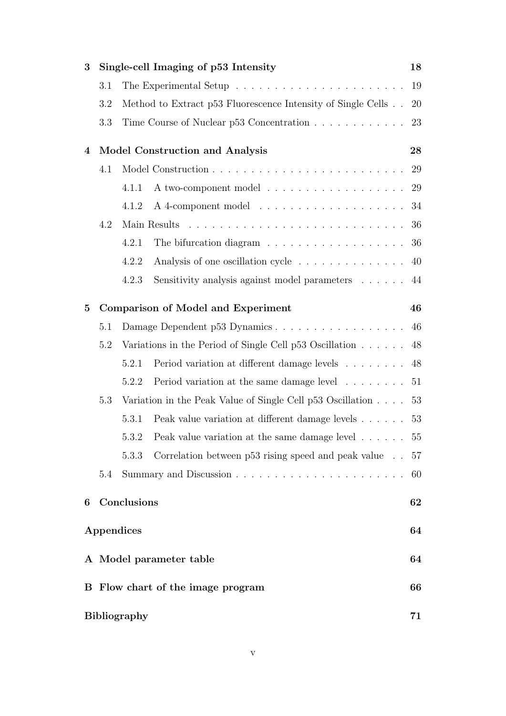| 3            |                                           | Single-cell Imaging of p53 Intensity<br>18                               |                                                                               |    |  |  |  |  |
|--------------|-------------------------------------------|--------------------------------------------------------------------------|-------------------------------------------------------------------------------|----|--|--|--|--|
|              | 3.1                                       |                                                                          |                                                                               |    |  |  |  |  |
|              | 3.2                                       | Method to Extract p53 Fluorescence Intensity of Single Cells             |                                                                               |    |  |  |  |  |
|              | 3.3                                       | Time Course of Nuclear p53 Concentration                                 |                                                                               |    |  |  |  |  |
| 4            |                                           | <b>Model Construction and Analysis</b><br>28                             |                                                                               |    |  |  |  |  |
|              | 4.1                                       |                                                                          |                                                                               |    |  |  |  |  |
|              |                                           | 4.1.1                                                                    | A two-component model                                                         | 29 |  |  |  |  |
|              |                                           | 4.1.2                                                                    |                                                                               | 34 |  |  |  |  |
|              | 4.2                                       |                                                                          |                                                                               |    |  |  |  |  |
|              |                                           | 4.2.1                                                                    | The bifurcation diagram $\ldots \ldots \ldots \ldots \ldots \ldots \ldots 36$ |    |  |  |  |  |
|              |                                           | 4.2.2                                                                    | Analysis of one oscillation cycle                                             | 40 |  |  |  |  |
|              |                                           | 4.2.3                                                                    | Sensitivity analysis against model parameters                                 | 44 |  |  |  |  |
| $\mathbf{5}$ | <b>Comparison of Model and Experiment</b> |                                                                          |                                                                               |    |  |  |  |  |
|              | 5.1                                       | Damage Dependent p53 Dynamics                                            |                                                                               |    |  |  |  |  |
|              | 5.2                                       |                                                                          | Variations in the Period of Single Cell $p53$ Oscillation $\dots$ .           | 48 |  |  |  |  |
|              |                                           | 5.2.1                                                                    | Period variation at different damage levels                                   | 48 |  |  |  |  |
|              |                                           | 5.2.2                                                                    | Period variation at the same damage level $\dots \dots \dots 51$              |    |  |  |  |  |
|              | 5.3                                       | Variation in the Peak Value of Single Cell $p53$ Oscillation $\ldots$ 53 |                                                                               |    |  |  |  |  |
|              |                                           | 5.3.1                                                                    | Peak value variation at different damage levels                               | 53 |  |  |  |  |
|              |                                           | 5.3.2                                                                    | Peak value variation at the same damage level $.\;.\;.\;.\;.\;.\;.\;55$       |    |  |  |  |  |
|              |                                           | 5.3.3                                                                    | Correlation between p53 rising speed and peak value                           | 57 |  |  |  |  |
|              | 5.4                                       | 60                                                                       |                                                                               |    |  |  |  |  |
| 6            |                                           | Conclusions<br>62                                                        |                                                                               |    |  |  |  |  |
|              | Appendices<br>64                          |                                                                          |                                                                               |    |  |  |  |  |
|              | 64                                        |                                                                          |                                                                               |    |  |  |  |  |
|              | A Model parameter table                   |                                                                          |                                                                               |    |  |  |  |  |
|              | B Flow chart of the image program         |                                                                          |                                                                               |    |  |  |  |  |
|              | <b>Bibliography</b><br>71                 |                                                                          |                                                                               |    |  |  |  |  |